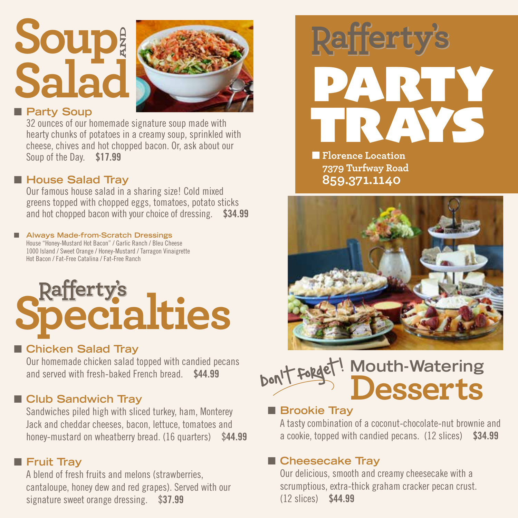## **Soup Salad AND**



#### **n** Party Soup

32 ounces of our homemade signature soup made with hearty chunks of potatoes in a creamy soup, sprinkled with cheese, chives and hot chopped bacon. Or, ask about our Soup of the Day. \$17.99

#### ■ House Salad Tray

Our famous house salad in a sharing size! Cold mixed greens topped with chopped eggs, tomatoes, potato sticks and hot chopped bacon with your choice of dressing. \$34.99

#### ■ Always Made-from-Scratch Dressings House "Honey-Mustard Hot Bacon" / Garlic Ranch / Bleu Cheese

1000 Island / Sweet Orange / Honey-Mustard / Tarragon Vinaigrette Hot Bacon / Fat-Free Catalina / Fat-Free Ranch

# **Rafferty's**<br>**Pecialties**

#### ■ Chicken Salad Tray

Our homemade chicken salad topped with candied pecans and served with fresh-baked French bread. \$44.99

#### **n** Club Sandwich Tray

Sandwiches piled high with sliced turkey, ham, Monterey Jack and cheddar cheeses, bacon, lettuce, tomatoes and honey-mustard on wheatberry bread. (16 quarters) \$44.99

#### **n** Fruit Tray

A blend of fresh fruits and melons (strawberries, cantaloupe, honey dew and red grapes). Served with our signature sweet orange dressing. \$37.99



**Florence Location 7379 Turfway Road 859.371.1140**



#### **Mouth-Watering Desserts** Don't forget!  $\overline{\phantom{a}}$

#### **n** Brookie Tray

A tasty combination of a coconut-chocolate-nut brownie and a cookie, topped with candied pecans. (12 slices) \$34.99

#### ■ Cheesecake Tray

Our delicious, smooth and creamy cheesecake with a scrumptious, extra-thick graham cracker pecan crust. (12 slices) \$44.99